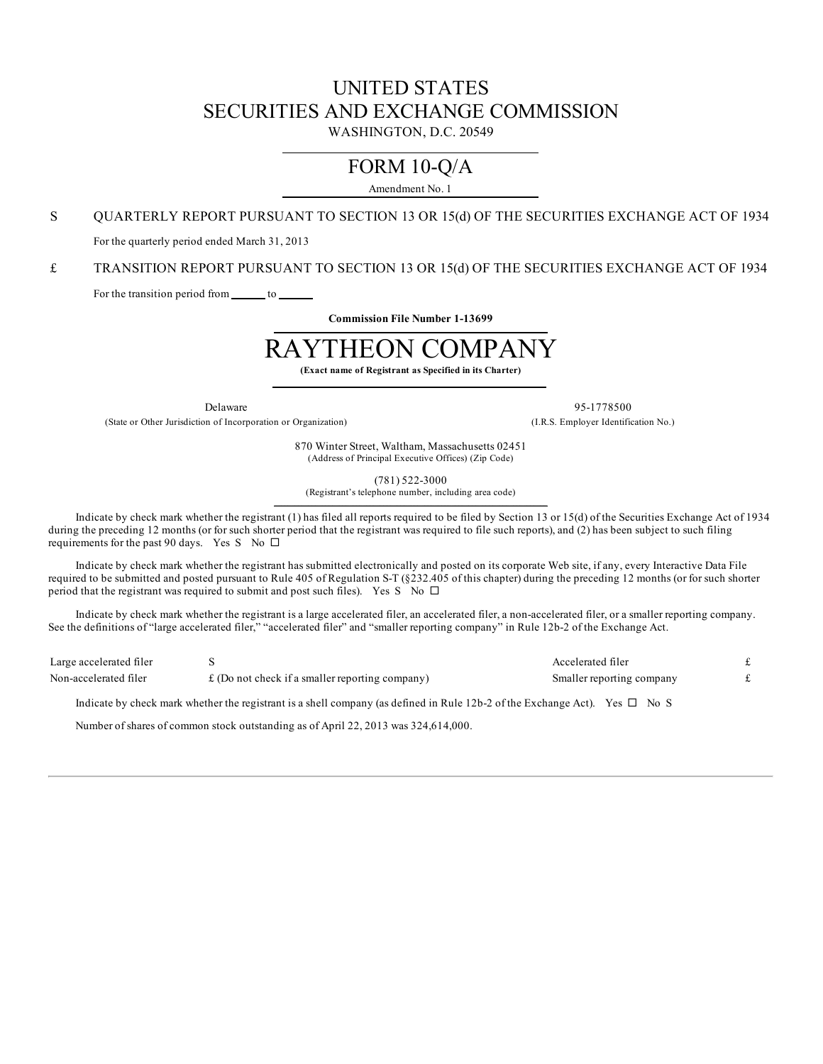# UNITED STATES SECURITIES AND EXCHANGE COMMISSION

WASHINGTON, D.C. 20549

# FORM 10-Q/A

Amendment No. 1

S QUARTERLY REPORT PURSUANT TO SECTION 13 OR 15(d) OF THE SECURITIES EXCHANGE ACT OF 1934

For the quarterly period ended March 31, 2013

£ TRANSITION REPORT PURSUANT TO SECTION 13 OR 15(d) OF THE SECURITIES EXCHANGE ACT OF 1934

For the transition period from \_\_\_\_\_\_\_ to \_\_\_\_\_

**Commission File Number 1-13699**  $\mathcal{L}_\mathcal{L} = \{ \mathcal{L}_\mathcal{L} = \{ \mathcal{L}_\mathcal{L} = \{ \mathcal{L}_\mathcal{L} = \{ \mathcal{L}_\mathcal{L} = \{ \mathcal{L}_\mathcal{L} = \{ \mathcal{L}_\mathcal{L} = \{ \mathcal{L}_\mathcal{L} = \{ \mathcal{L}_\mathcal{L} = \{ \mathcal{L}_\mathcal{L} = \{ \mathcal{L}_\mathcal{L} = \{ \mathcal{L}_\mathcal{L} = \{ \mathcal{L}_\mathcal{L} = \{ \mathcal{L}_\mathcal{L} = \{ \mathcal{L}_\mathcal{$ 

# RAYTHEON COMPANY

**(Exact name of Registrant as Specified in its Charter)**

(State or Other Jurisdiction of Incorporation or Organization) (I.R.S. Employer Identification No.)

Delaware 95-1778500

870 Winter Street, Waltham, Massachusetts 02451 (Address of Principal Executive Offices) (Zip Code)

(781) 522-3000

(Registrant's telephone number, including area code)  $\mathcal{L}_\mathcal{L} = \{ \mathcal{L}_\mathcal{L} = \{ \mathcal{L}_\mathcal{L} = \{ \mathcal{L}_\mathcal{L} = \{ \mathcal{L}_\mathcal{L} = \{ \mathcal{L}_\mathcal{L} = \{ \mathcal{L}_\mathcal{L} = \{ \mathcal{L}_\mathcal{L} = \{ \mathcal{L}_\mathcal{L} = \{ \mathcal{L}_\mathcal{L} = \{ \mathcal{L}_\mathcal{L} = \{ \mathcal{L}_\mathcal{L} = \{ \mathcal{L}_\mathcal{L} = \{ \mathcal{L}_\mathcal{L} = \{ \mathcal{L}_\mathcal{$ 

Indicate by check mark whether the registrant (1) has filed all reports required to be filed by Section 13 or 15(d) of the Securities Exchange Act of 1934 during the preceding 12 months (or for such shorter period that the registrant was required to file such reports), and (2) has been subject to such filing requirements for the past 90 days. Yes S No  $\Box$ 

Indicate by check mark whether the registrant has submitted electronically and posted on its corporate Web site, if any, every Interactive Data File required to be submitted and posted pursuant to Rule 405 of Regulation S-T (§232.405 of this chapter) during the preceding 12 months (or for such shorter period that the registrant was required to submit and post such files). Yes S No  $\Box$ 

Indicate by check mark whether the registrant is a large accelerated filer, an accelerated filer, a non-accelerated filer, or a smaller reporting company. See the definitions of "large accelerated filer," "accelerated filer" and "smaller reporting company" in Rule 12b-2 of the Exchange Act.

| Large accelerated filer |                                                         | Accelerated filer         |  |
|-------------------------|---------------------------------------------------------|---------------------------|--|
| Non-accelerated filer   | $\pounds$ (Do not check if a smaller reporting company) | Smaller reporting company |  |

Indicate by check mark whether the registrant is a shell company (as defined in Rule 12b-2 of the Exchange Act). Yes  $\Box$  No S

Number of shares of common stock outstanding as of April 22, 2013 was 324,614,000.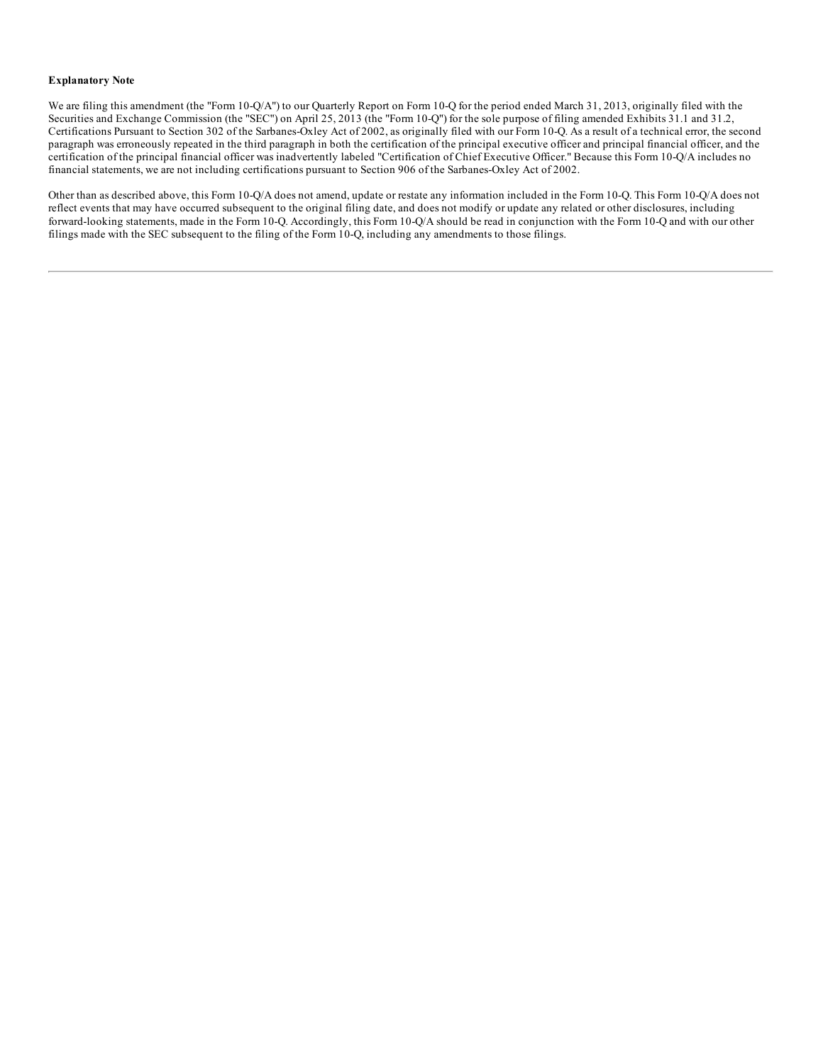#### **Explanatory Note**

We are filing this amendment (the "Form 10-Q/A") to our Quarterly Report on Form 10-Q for the period ended March 31, 2013, originally filed with the Securities and Exchange Commission (the "SEC") on April 25, 2013 (the "Form 10-Q") for the sole purpose of filing amended Exhibits 31.1 and 31.2, Certifications Pursuant to Section 302 of the Sarbanes-Oxley Act of 2002, as originally filed with our Form 10-Q. As a result of a technical error, the second paragraph was erroneously repeated in the third paragraph in both the certification of the principal executive officer and principal financial officer, and the certification of the principal financial officer was inadvertently labeled "Certification of Chief Executive Officer." Because this Form 10-Q/A includes no financial statements, we are not including certifications pursuant to Section 906 of the Sarbanes-Oxley Act of 2002.

Other than as described above, this Form 10-Q/A does not amend, update or restate any information included in the Form 10-Q. This Form 10-Q/A does not reflect events that may have occurred subsequent to the original filing date, and does not modify or update any related or other disclosures, including forward-looking statements, made in the Form 10-Q. Accordingly, this Form 10-Q/A should be read in conjunction with the Form 10-Q and with our other filings made with the SEC subsequent to the filing of the Form 10-Q, including any amendments to those filings.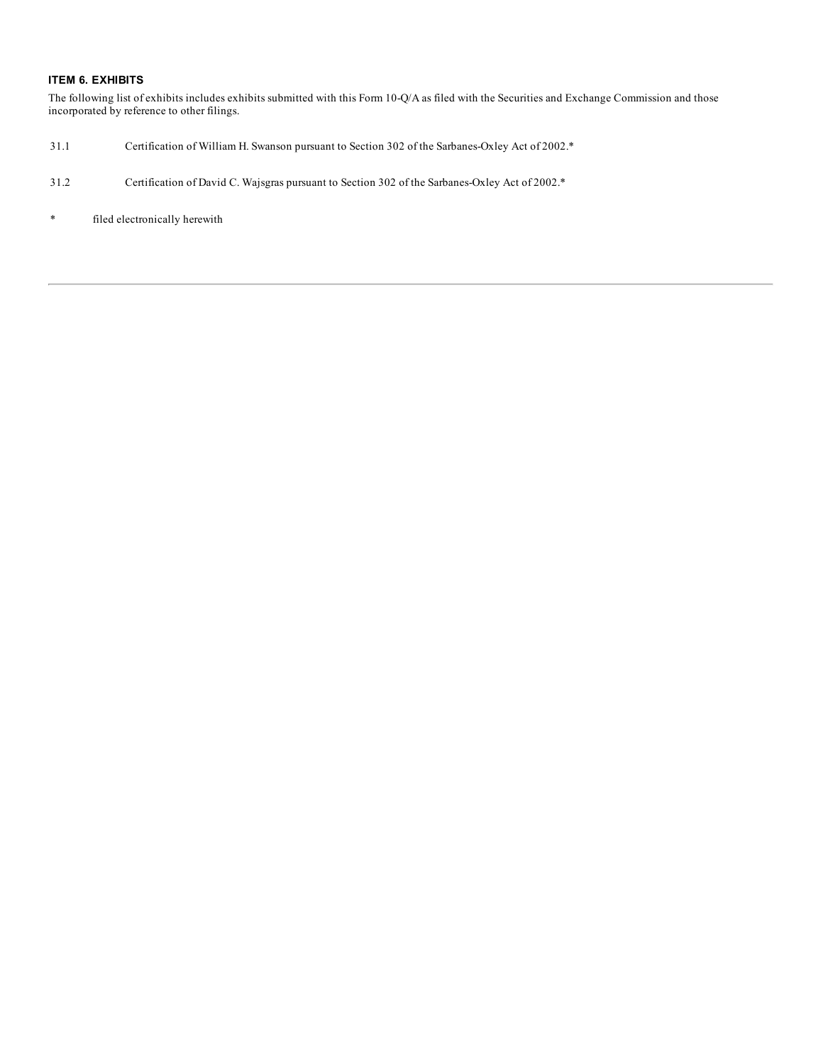### **ITEM 6. EXHIBITS**

The following list of exhibits includes exhibits submitted with this Form 10-Q/A as filed with the Securities and Exchange Commission and those incorporated by reference to other filings.

- 31.1 Certification of William H. Swanson pursuant to Section 302 of the Sarbanes-Oxley Act of 2002.\*
- 31.2 Certification of David C. Wajsgras pursuant to Section 302 of the Sarbanes-Oxley Act of 2002.\*
- \* filed electronically herewith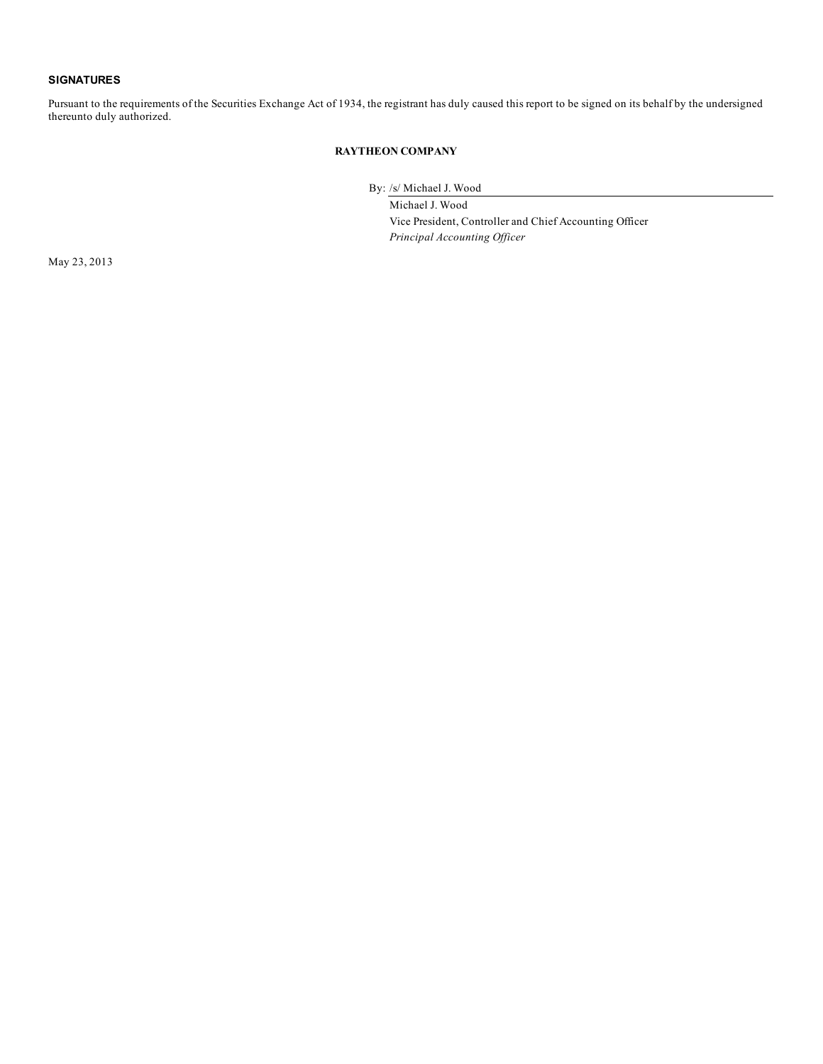### **SIGNATURES**

Pursuant to the requirements of the Securities Exchange Act of 1934, the registrant has duly caused this report to be signed on its behalf by the undersigned thereunto duly authorized.

## **RAYTHEON COMPANY**

By: /s/ Michael J. Wood

Michael J. Wood Vice President, Controller and Chief Accounting Officer *Principal Accounting Of icer*

May 23, 2013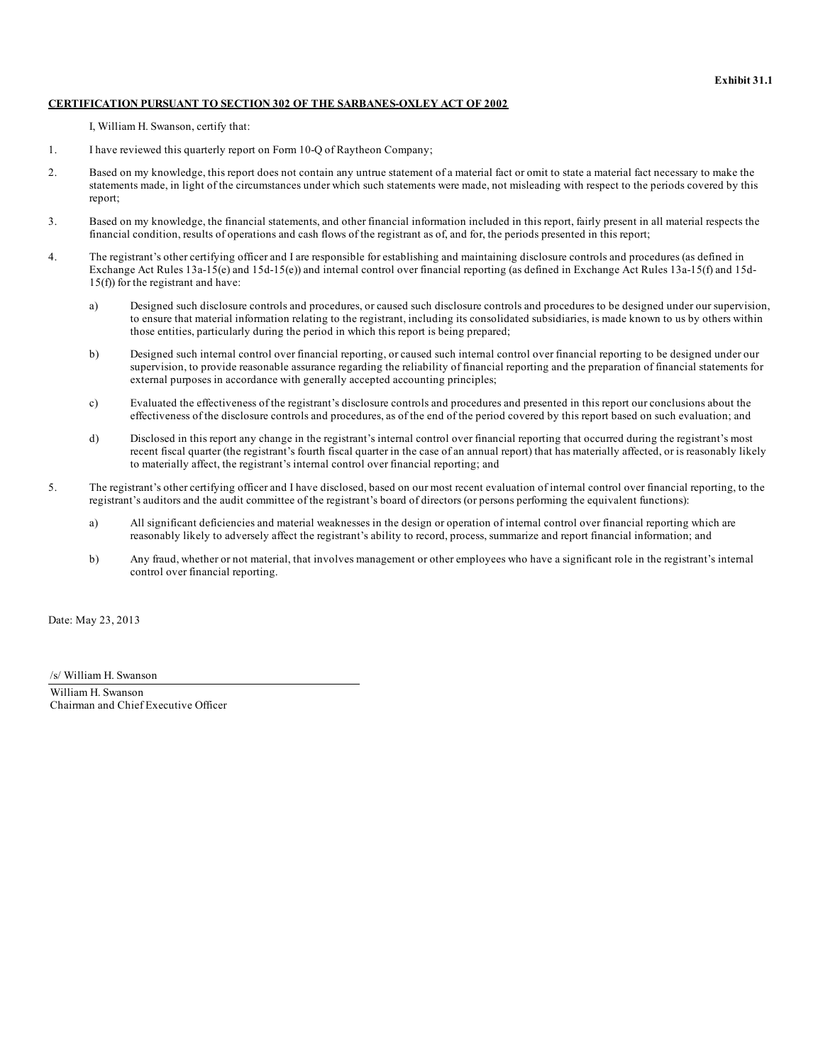#### **CERTIFICATION PURSUANT TO SECTION 302 OF THE SARBANES-OXLEY ACT OF 2002**

I, William H. Swanson, certify that:

- 1. I have reviewed this quarterly report on Form 10-Q of Raytheon Company;
- 2. Based on my knowledge, this report does not contain any untrue statement of a material fact or omit to state a material fact necessary to make the statements made, in light of the circumstances under which such statements were made, not misleading with respect to the periods covered by this report;
- 3. Based on my knowledge, the financial statements, and other financial information included in this report, fairly present in all material respects the financial condition, results of operations and cash flows of the registrant as of, and for, the periods presented in this report;
- 4. The registrant's other certifying officer and I are responsible for establishing and maintaining disclosure controls and procedures (as defined in Exchange Act Rules 13a-15(e) and 15d-15(e)) and internal control over financial reporting (as defined in Exchange Act Rules 13a-15(f) and 15d-15(f)) for the registrant and have:
	- a) Designed such disclosure controls and procedures, or caused such disclosure controls and procedures to be designed under our supervision, to ensure that material information relating to the registrant, including its consolidated subsidiaries, is made known to us by others within those entities, particularly during the period in which this report is being prepared;
	- b) Designed such internal control over financial reporting, or caused such internal control over financial reporting to be designed under our supervision, to provide reasonable assurance regarding the reliability of financial reporting and the preparation of financial statements for external purposes in accordance with generally accepted accounting principles;
	- c) Evaluated the effectiveness of the registrant's disclosure controls and procedures and presented in this report our conclusions about the effectiveness of the disclosure controls and procedures, as of the end of the period covered by this report based on such evaluation; and
	- d) Disclosed in this report any change in the registrant's internal control over financial reporting that occurred during the registrant's most recent fiscal quarter (the registrant's fourth fiscal quarter in the case of an annual report) that has materially affected, or is reasonably likely to materially affect, the registrant's internal control over financial reporting; and
- 5. The registrant's other certifying officer and I have disclosed, based on our most recent evaluation of internal control over financial reporting, to the registrant's auditors and the audit committee of the registrant's board of directors (or persons performing the equivalent functions):
	- a) All significant deficiencies and material weaknesses in the design or operation of internal control over financial reporting which are reasonably likely to adversely affect the registrant's ability to record, process, summarize and report financial information; and
	- b) Any fraud, whether or not material, that involves management or other employees who have a significant role in the registrant's internal control over financial reporting.

Date: May 23, 2013

/s/ William H. Swanson

William H. Swanson Chairman and Chief Executive Officer